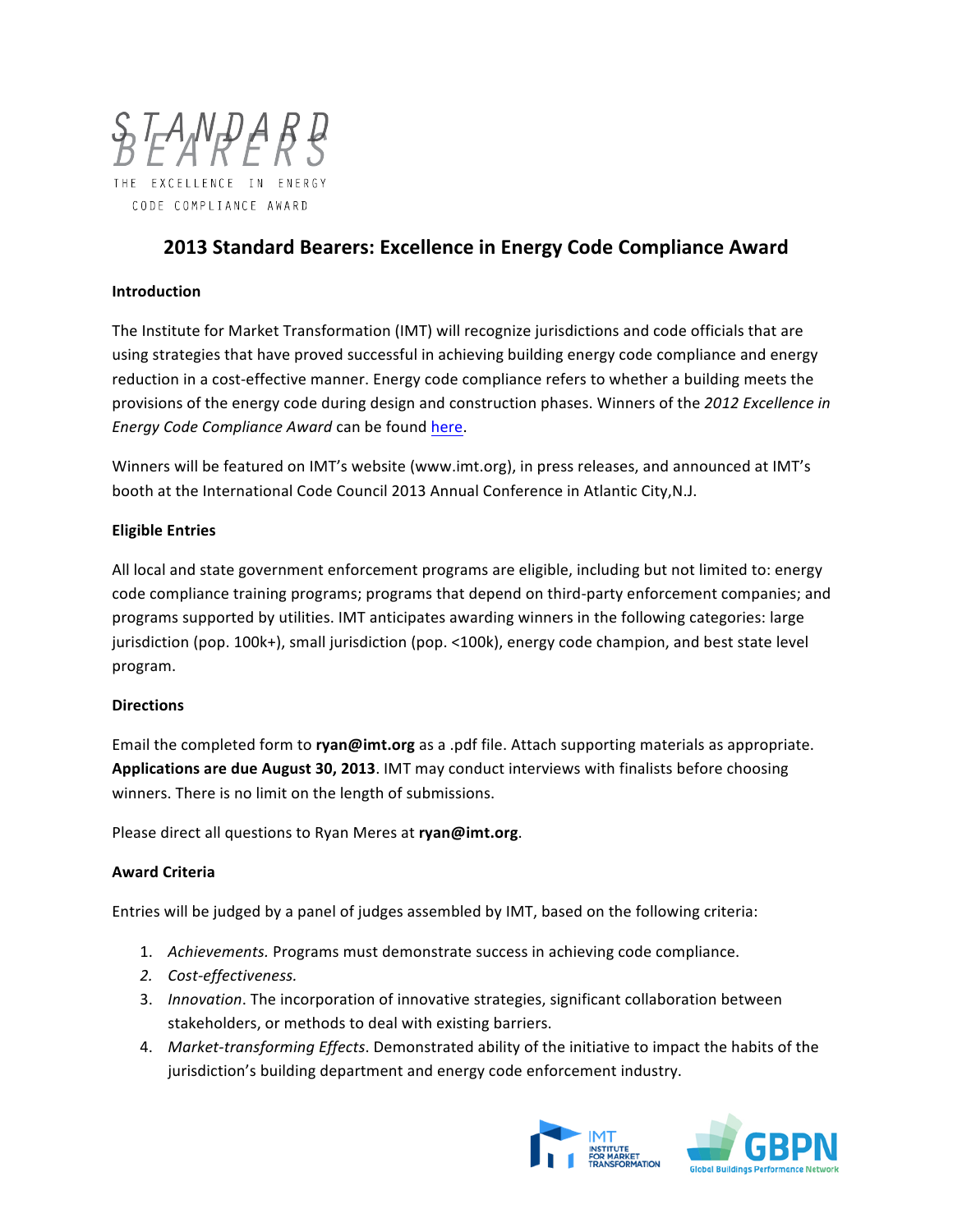

# **2013 Standard Bearers: Excellence in Energy Code Compliance Award**

### **Introduction**

The Institute for Market Transformation (IMT) will recognize jurisdictions and code officials that are using strategies that have proved successful in achieving building energy code compliance and energy reduction in a cost-effective manner. Energy code compliance refers to whether a building meets the provisions of the energy code during design and construction phases. Winners of the 2012 Excellence in *Energy Code Compliance Award* can be found here.

Winners will be featured on IMT's website (www.imt.org), in press releases, and announced at IMT's booth at the International Code Council 2013 Annual Conference in Atlantic City,N.J.

### **Eligible Entries**

All local and state government enforcement programs are eligible, including but not limited to: energy code compliance training programs; programs that depend on third-party enforcement companies; and programs supported by utilities. IMT anticipates awarding winners in the following categories: large jurisdiction (pop. 100k+), small jurisdiction (pop. <100k), energy code champion, and best state level program. 

#### **Directions**

Email the completed form to **ryan@imt.org** as a .pdf file. Attach supporting materials as appropriate. Applications are due August 30, 2013. IMT may conduct interviews with finalists before choosing winners. There is no limit on the length of submissions.

Please direct all questions to Ryan Meres at **ryan@imt.org**.

### **Award Criteria**

Entries will be judged by a panel of judges assembled by IMT, based on the following criteria:

- 1. Achievements. Programs must demonstrate success in achieving code compliance.
- *2. Cost-effectiveness.*
- 3. *Innovation*. The incorporation of innovative strategies, significant collaboration between stakeholders, or methods to deal with existing barriers.
- 4. Market-transforming *Effects*. Demonstrated ability of the initiative to impact the habits of the jurisdiction's building department and energy code enforcement industry.

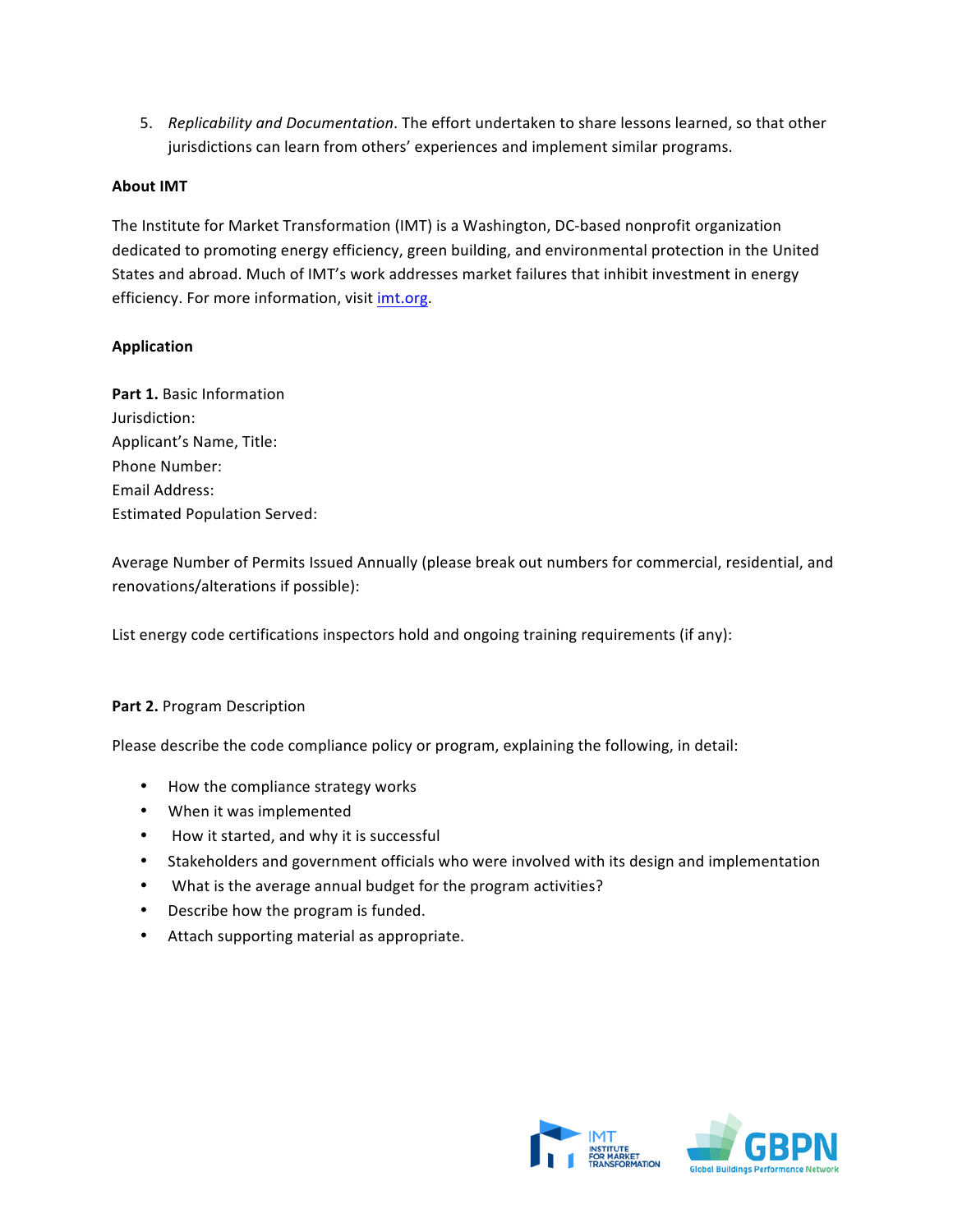5. Replicability and Documentation. The effort undertaken to share lessons learned, so that other jurisdictions can learn from others' experiences and implement similar programs.

# **About IMT**

The Institute for Market Transformation (IMT) is a Washington, DC-based nonprofit organization dedicated to promoting energy efficiency, green building, and environmental protection in the United States and abroad. Much of IMT's work addresses market failures that inhibit investment in energy efficiency. For more information, visit *imt.org.* 

# **Application**

**Part 1.** Basic Information Jurisdiction: Applicant's Name, Title: Phone Number: Email Address: Estimated Population Served:

Average Number of Permits Issued Annually (please break out numbers for commercial, residential, and renovations/alterations if possible): 

List energy code certifications inspectors hold and ongoing training requirements (if any):

### **Part 2.** Program Description

Please describe the code compliance policy or program, explaining the following, in detail:

- How the compliance strategy works
- When it was implemented
- How it started, and why it is successful
- Stakeholders and government officials who were involved with its design and implementation
- What is the average annual budget for the program activities?
- Describe how the program is funded.
- Attach supporting material as appropriate.